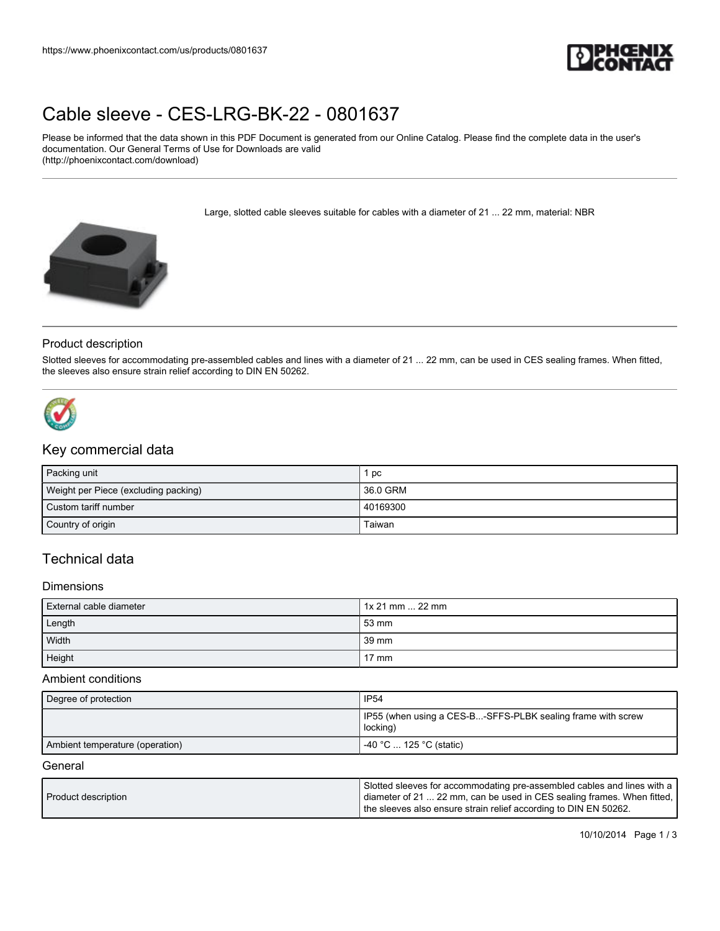

# [Cable sleeve - CES-LRG-BK-22 - 0801637](https://www.phoenixcontact.com/us/products/0801637)

Please be informed that the data shown in this PDF Document is generated from our Online Catalog. Please find the complete data in the user's documentation. Our General Terms of Use for Downloads are valid (http://phoenixcontact.com/download)

Large, slotted cable sleeves suitable for cables with a diameter of 21 ... 22 mm, material: NBR



#### Product description

Slotted sleeves for accommodating pre-assembled cables and lines with a diameter of 21 ... 22 mm, can be used in CES sealing frames. When fitted, the sleeves also ensure strain relief according to DIN EN 50262.



# Key commercial data

| Packing unit                         | l pc     |
|--------------------------------------|----------|
| Weight per Piece (excluding packing) | 36.0 GRM |
| Custom tariff number                 | 40169300 |
| Country of origin                    | Taiwan   |

## Technical data

#### **Dimensions**

| External cable diameter | $1x 21$ mm $\dots$ 22 mm |
|-------------------------|--------------------------|
| Length                  | 53 mm                    |
| Width                   | 39 mm                    |
| Height                  | $17 \text{ mm}$          |

#### Ambient conditions

| Degree of protection            | <b>IP54</b>                                                               |
|---------------------------------|---------------------------------------------------------------------------|
|                                 | I IP55 (when using a CES-B-SFFS-PLBK sealing frame with screw<br>locking) |
| Ambient temperature (operation) | $-40$ °C $\dots$ 125 °C (static)                                          |

#### **General**

| Product description | Slotted sleeves for accommodating pre-assembled cables and lines with a  <br>  diameter of 21  22 mm, can be used in CES sealing frames. When fitted, |
|---------------------|-------------------------------------------------------------------------------------------------------------------------------------------------------|
|                     | the sleeves also ensure strain relief according to DIN EN 50262.                                                                                      |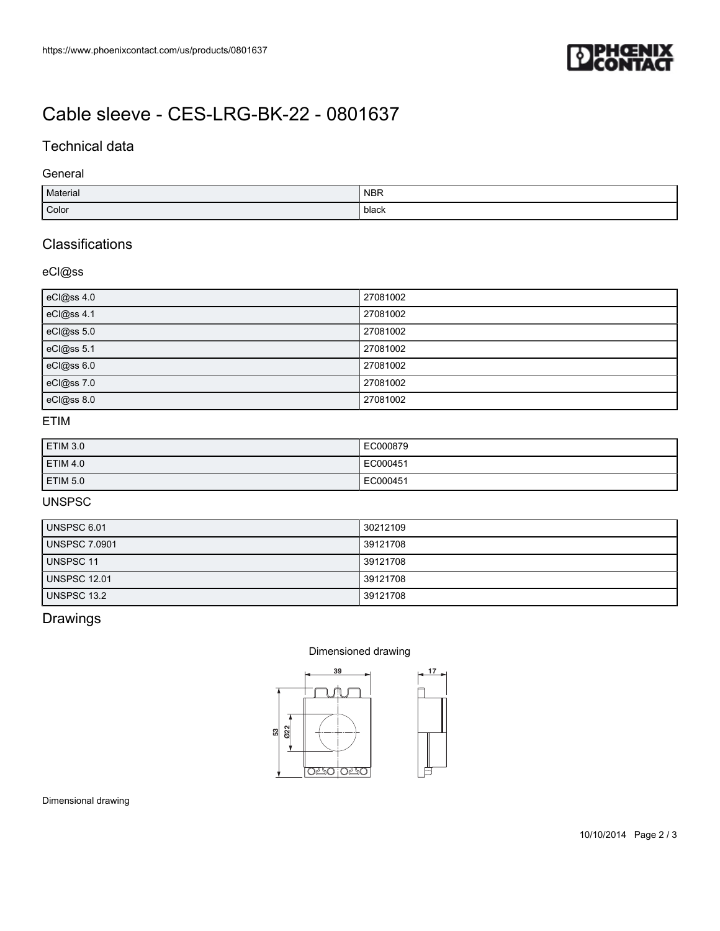

# [Cable sleeve - CES-LRG-BK-22 - 0801637](https://www.phoenixcontact.com/us/products/0801637)

## Technical data

### General

| Material | <b>NBR</b> |
|----------|------------|
| Color    | black      |

## **Classifications**

### eCl@ss

| eCl@ss 4.0 | 27081002 |
|------------|----------|
| eCl@ss 4.1 | 27081002 |
| eCl@ss 5.0 | 27081002 |
| eCl@ss 5.1 | 27081002 |
| eCl@ss 6.0 | 27081002 |
| eCl@ss 7.0 | 27081002 |
| eCl@ss 8.0 | 27081002 |

## ETIM

| ETIM 3.0        | EC000879 |
|-----------------|----------|
| <b>ETIM 4.0</b> | EC000451 |
| ETIM 5.0        | EC000451 |

## UNSPSC

| UNSPSC 6.01          | 30212109 |
|----------------------|----------|
| <b>UNSPSC 7.0901</b> | 39121708 |
| <b>UNSPSC 11</b>     | 39121708 |
| <b>UNSPSC 12.01</b>  | 39121708 |
| UNSPSC 13.2          | 39121708 |

## Drawings

#### Dimensioned drawing



Dimensional drawing